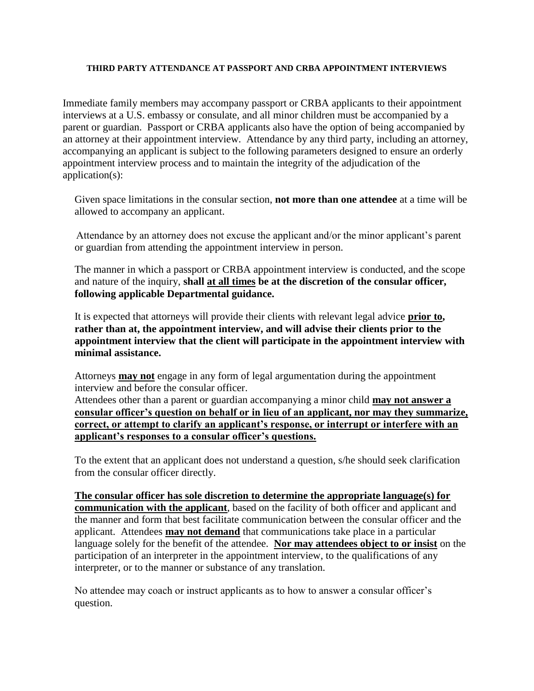## **THIRD PARTY ATTENDANCE AT PASSPORT AND CRBA APPOINTMENT INTERVIEWS**

Immediate family members may accompany passport or CRBA applicants to their appointment interviews at a U.S. embassy or consulate, and all minor children must be accompanied by a parent or guardian. Passport or CRBA applicants also have the option of being accompanied by an attorney at their appointment interview. Attendance by any third party, including an attorney, accompanying an applicant is subject to the following parameters designed to ensure an orderly appointment interview process and to maintain the integrity of the adjudication of the application(s):

Given space limitations in the consular section, **not more than one attendee** at a time will be allowed to accompany an applicant.

Attendance by an attorney does not excuse the applicant and/or the minor applicant's parent or guardian from attending the appointment interview in person.

The manner in which a passport or CRBA appointment interview is conducted, and the scope and nature of the inquiry, **shall at all times be at the discretion of the consular officer, following applicable Departmental guidance.**

It is expected that attorneys will provide their clients with relevant legal advice **prior to, rather than at, the appointment interview, and will advise their clients prior to the appointment interview that the client will participate in the appointment interview with minimal assistance.**

Attorneys **may not** engage in any form of legal argumentation during the appointment interview and before the consular officer.

Attendees other than a parent or guardian accompanying a minor child **may not answer a consular officer's question on behalf or in lieu of an applicant, nor may they summarize, correct, or attempt to clarify an applicant's response, or interrupt or interfere with an applicant's responses to a consular officer's questions.**

To the extent that an applicant does not understand a question, s/he should seek clarification from the consular officer directly.

**The consular officer has sole discretion to determine the appropriate language(s) for communication with the applicant**, based on the facility of both officer and applicant and the manner and form that best facilitate communication between the consular officer and the applicant. Attendees **may not demand** that communications take place in a particular language solely for the benefit of the attendee. **Nor may attendees object to or insist** on the participation of an interpreter in the appointment interview, to the qualifications of any interpreter, or to the manner or substance of any translation.

No attendee may coach or instruct applicants as to how to answer a consular officer's question.